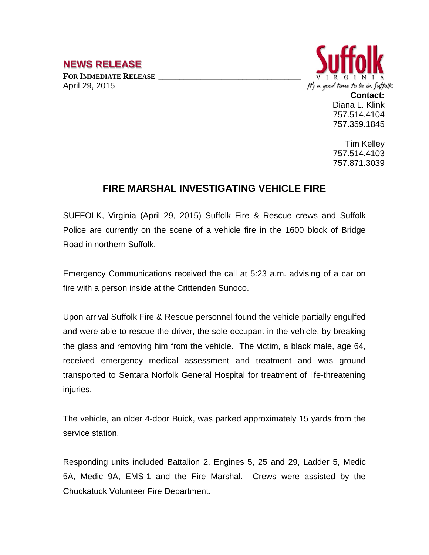## **NEWS RELEASE**

FOR **IMMEDIATE RELEASE** April 29, 2015



**Contact:** Diana L. Klink 757.514.4104 757.359.1845

Tim Kelley 757.514.4103 757.871.3039

## **FIRE MARSHAL INVESTIGATING VEHICLE FIRE**

SUFFOLK, Virginia (April 29, 2015) Suffolk Fire & Rescue crews and Suffolk Police are currently on the scene of a vehicle fire in the 1600 block of Bridge Road in northern Suffolk.

Emergency Communications received the call at 5:23 a.m. advising of a car on fire with a person inside at the Crittenden Sunoco.

Upon arrival Suffolk Fire & Rescue personnel found the vehicle partially engulfed and were able to rescue the driver, the sole occupant in the vehicle, by breaking the glass and removing him from the vehicle. The victim, a black male, age 64, received emergency medical assessment and treatment and was ground transported to Sentara Norfolk General Hospital for treatment of life-threatening injuries.

The vehicle, an older 4-door Buick, was parked approximately 15 yards from the service station.

Responding units included Battalion 2, Engines 5, 25 and 29, Ladder 5, Medic 5A, Medic 9A, EMS-1 and the Fire Marshal. Crews were assisted by the Chuckatuck Volunteer Fire Department.